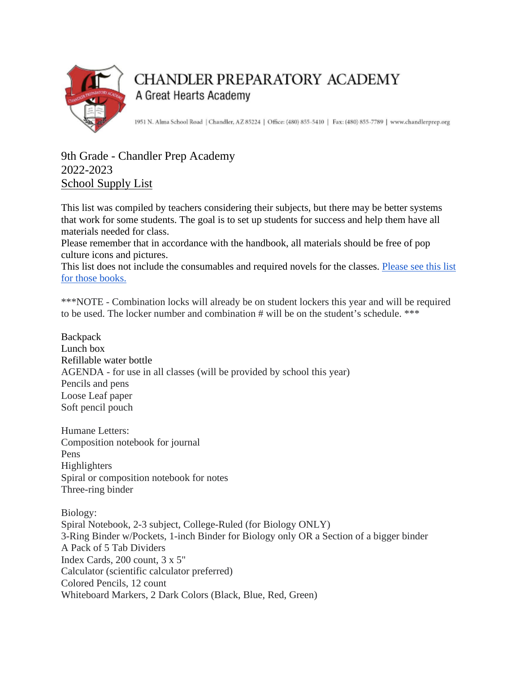

## **CHANDLER PREPARATORY ACADEMY** A Great Hearts Academy

1951 N. Alma School Road | Chandler, AZ 85224 | Office: (480) 855-5410 | Fax: (480) 855-7789 | www.chandlerprep.org

## 9th Grade - Chandler Prep Academy 2022-2023 School Supply List

This list was compiled by teachers considering their subjects, but there may be better systems that work for some students. The goal is to set up students for success and help them have all materials needed for class.

Please remember that in accordance with the handbook, all materials should be free of pop culture icons and pictures.

This list does not include the consumables and required novels for the classes. Please see this list [for those books.](https://chandlerprep.greatheartsamerica.org/academics/booksupply-lists/)

\*\*\*NOTE - Combination locks will already be on student lockers this year and will be required to be used. The locker number and combination # will be on the student's schedule. \*\*\*

**Backpack** Lunch box Refillable water bottle AGENDA - for use in all classes (will be provided by school this year) Pencils and pens Loose Leaf paper Soft pencil pouch

Humane Letters: Composition notebook for journal Pens Highlighters Spiral or composition notebook for notes Three-ring binder

Biology: Spiral Notebook, 2-3 subject, College-Ruled (for Biology ONLY) 3-Ring Binder w/Pockets, 1-inch Binder for Biology only OR a Section of a bigger binder A Pack of 5 Tab Dividers Index Cards, 200 count, 3 x 5" Calculator (scientific calculator preferred) Colored Pencils, 12 count Whiteboard Markers, 2 Dark Colors (Black, Blue, Red, Green)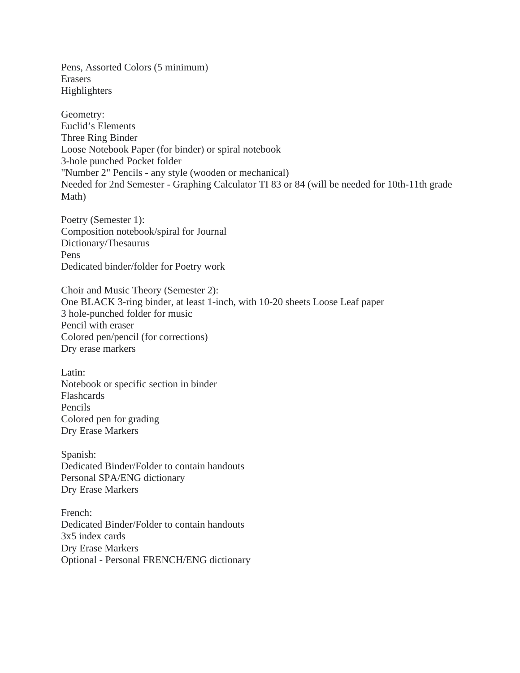Pens, Assorted Colors (5 minimum) Erasers Highlighters

Geometry: Euclid's Elements Three Ring Binder Loose Notebook Paper (for binder) or spiral notebook 3-hole punched Pocket folder "Number 2" Pencils - any style (wooden or mechanical) Needed for 2nd Semester - Graphing Calculator TI 83 or 84 (will be needed for 10th-11th grade Math)

Poetry (Semester 1): Composition notebook/spiral for Journal Dictionary/Thesaurus Pens Dedicated binder/folder for Poetry work

Choir and Music Theory (Semester 2): One BLACK 3-ring binder, at least 1-inch, with 10-20 sheets Loose Leaf paper 3 hole-punched folder for music Pencil with eraser Colored pen/pencil (for corrections) Dry erase markers

Latin: Notebook or specific section in binder Flashcards Pencils Colored pen for grading Dry Erase Markers

Spanish: Dedicated Binder/Folder to contain handouts Personal SPA/ENG dictionary Dry Erase Markers

French: Dedicated Binder/Folder to contain handouts 3x5 index cards Dry Erase Markers Optional - Personal FRENCH/ENG dictionary